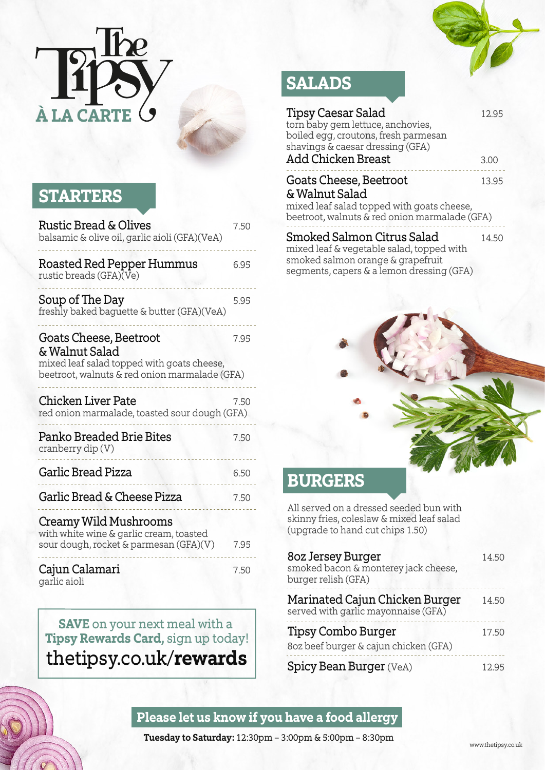

## **STARTERS**

| <b>Rustic Bread &amp; Olives</b><br>balsamic & olive oil, garlic aioli (GFA)(VeA)                                                       | 7.50 |
|-----------------------------------------------------------------------------------------------------------------------------------------|------|
| Roasted Red Pepper Hummus<br>rustic breads (GFA)(Ve)                                                                                    | 6.95 |
| Soup of The Day<br>freshly baked baguette & butter (GFA)(VeA)                                                                           | 5.95 |
| Goats Cheese, Beetroot<br>& Walnut Salad<br>mixed leaf salad topped with goats cheese,<br>beetroot, walnuts & red onion marmalade (GFA) | 7.95 |
| Chicken Liver Pate<br>red onion marmalade, toasted sour dough (GFA)                                                                     | 7.50 |
| Panko Breaded Brie Bites<br>cranberry dip $(V)$                                                                                         | 7.50 |
| Garlic Bread Pizza                                                                                                                      | 6.50 |
| Garlic Bread & Cheese Pizza                                                                                                             | 7.50 |
| Creamy Wild Mushrooms<br>with white wine & garlic cream, toasted<br>sour dough, rocket & parmesan (GFA)(V)                              | 7.95 |
| Cajun Calamari                                                                                                                          | 7.50 |

garlic aioli

**SAVE** on your next meal with a **Tipsy Rewards Card,** sign up today! thetipsy.co.uk/**rewards**

# **SALADS**

| <b>Tipsy Caesar Salad</b><br>torn baby gem lettuce, anchovies,<br>boiled egg, croutons, fresh parmesan<br>shavings & caesar dressing (GFA) | 12.95 |
|--------------------------------------------------------------------------------------------------------------------------------------------|-------|
| Add Chicken Breast                                                                                                                         | 3.00  |
| Goats Cheese, Beetroot<br>& Walnut Salad<br>mixed leaf salad topped with goats cheese,<br>beetroot, walnuts & red onion marmalade (GFA)    | 13.95 |
| Smoked Salmon Citrus Salad<br>mixed leaf & vegetable salad, topped with<br>emoked eslmon orange & granafruit                               | 14.50 |

smoked salmon orange & grapefruit segments, capers & a lemon dressing (GFA)

### **BURGERS**

All served on a dressed seeded bun with skinny fries, coleslaw & mixed leaf salad (upgrade to hand cut chips 1.50)

| 80z Jersey Burger<br>smoked bacon & monterey jack cheese,<br>burger relish (GFA) | 14.50 |
|----------------------------------------------------------------------------------|-------|
| Marinated Cajun Chicken Burger<br>served with garlic mayonnaise (GFA)            | 14.50 |
| <b>Tipsy Combo Burger</b><br>8oz beef burger & cajun chicken (GFA)               | 17.50 |
| <b>Spicy Bean Burger (VeA)</b>                                                   | 12.95 |

#### **Please let us know if you have a food allergy**

**Tuesday to Saturday:** 12:30pm – 3:00pm & 5:00pm – 8:30pm

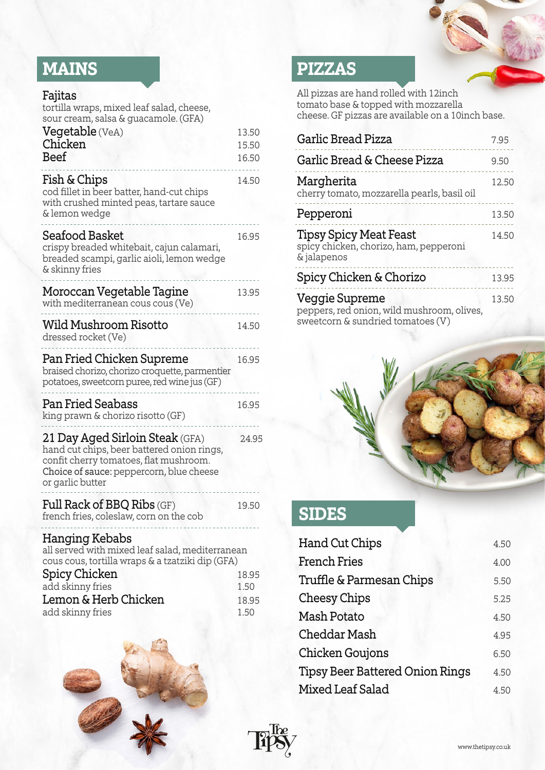# **MAINS**

| Fajitas |
|---------|
|         |

| tortilla wraps, mixed leaf salad, cheese,<br>sour cream, salsa & guacamole. (GFA)                                                                                                       |                         |
|-----------------------------------------------------------------------------------------------------------------------------------------------------------------------------------------|-------------------------|
| Vegetable (VeA)<br>Chicken<br><b>Beef</b>                                                                                                                                               | 13.50<br>15.50<br>16.50 |
| Fish & Chips<br>cod fillet in beer batter, hand-cut chips<br>with crushed minted peas, tartare sauce<br>& lemon wedge                                                                   | 14.50                   |
| Seafood Basket<br>crispy breaded whitebait, cajun calamari,<br>breaded scampi, garlic aioli, lemon wedge<br>& skinny fries                                                              | 16.95                   |
| Moroccan Vegetable Tagine<br>with mediterranean cous cous (Ve)                                                                                                                          | 13.95                   |
| <b>Wild Mushroom Risotto</b><br>dressed rocket (Ve)                                                                                                                                     | 14.50                   |
| Pan Fried Chicken Supreme<br>braised chorizo, chorizo croquette, parmentier<br>potatoes, sweetcorn puree, red wine jus (GF)                                                             | 16.95                   |
| <b>Pan Fried Seabass</b><br>king prawn & chorizo risotto (GF)                                                                                                                           | 16.95                   |
| 21 Day Aged Sirloin Steak (GFA)<br>hand cut chips, beer battered onion rings,<br>confit cherry tomatoes, flat mushroom.<br>Choice of sauce: peppercorn, blue cheese<br>or garlic butter | 24.95                   |
| <b>Full Rack of BBQ Ribs (GF)</b><br>french fries, coleslaw, corn on the cob                                                                                                            | 19.50                   |
| <b>Hanging Kebabs</b><br>all served with mixed leaf salad, mediterranean<br>cous cous, tortilla wraps & a tzatziki dip (GFA)                                                            |                         |
| <b>Spicy Chicken</b>                                                                                                                                                                    | 18.95                   |

| 18.95 |
|-------|
| 1.50  |
| 18.95 |
| 1.50  |
|       |



# **PIZZAS**

All pizzas are hand rolled with 12inch tomato base & topped with mozzarella cheese. GF pizzas are available on a 10inch base.

| Garlic Bread Pizza                                                                                | 7.95  |
|---------------------------------------------------------------------------------------------------|-------|
| Garlic Bread & Cheese Pizza                                                                       | 9.50  |
| Margherita<br>cherry tomato, mozzarella pearls, basil oil                                         | 12.50 |
| Pepperoni                                                                                         | 13.50 |
| <b>Tipsy Spicy Meat Feast</b><br>spicy chicken, chorizo, ham, pepperoni<br>& jalapenos            | 14.50 |
| Spicy Chicken & Chorizo                                                                           | 13.95 |
| Veggie Supreme<br>peppers, red onion, wild mushroom, olives,<br>sweetcorn & sundried tomatoes (V) | 13.50 |



# **SIDES**

| <b>Hand Cut Chips</b>                  | 4.50 |
|----------------------------------------|------|
| <b>French Fries</b>                    | 4.00 |
| Truffle & Parmesan Chips               | 5.50 |
| <b>Cheesy Chips</b>                    | 5.25 |
| Mash Potato                            | 4.50 |
| Cheddar Mash                           | 4.95 |
| <b>Chicken Goujons</b>                 | 6.50 |
| <b>Tipsy Beer Battered Onion Rings</b> | 4.50 |
| Mixed Leaf Salad                       | 4.50 |

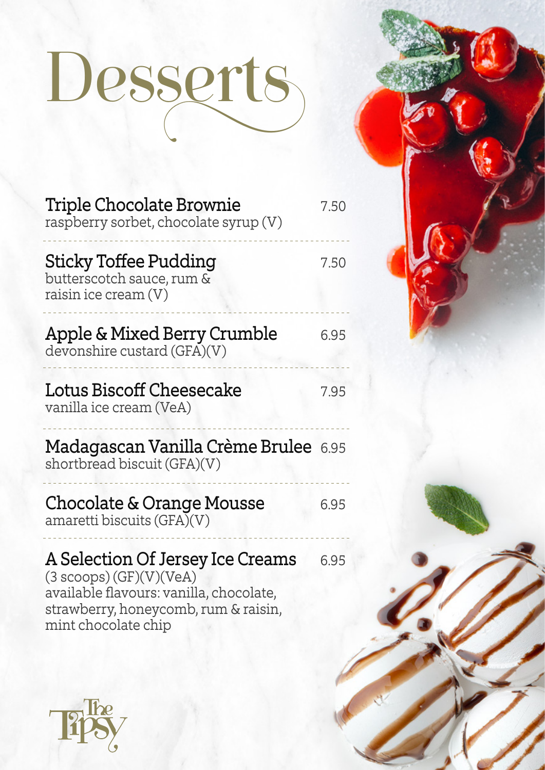# Dessert

| Triple Chocolate Brownie<br>raspberry sorbet, chocolate syrup (V)                                                                                                              | 7.50 |
|--------------------------------------------------------------------------------------------------------------------------------------------------------------------------------|------|
| <b>Sticky Toffee Pudding</b><br>butterscotch sauce, rum &<br>raisin ice cream (V)                                                                                              | 7.50 |
| Apple & Mixed Berry Crumble<br>devonshire custard (GFA)(V)                                                                                                                     | 6.95 |
| Lotus Biscoff Cheesecake<br>vanilla ice cream (VeA)                                                                                                                            | 7.95 |
| <b>Madagascan Vanilla Crème Brulee</b> 6.95<br>shortbread biscuit (GFA)(V)                                                                                                     |      |
| Chocolate & Orange Mousse<br>amaretti biscuits (GFA)(V)                                                                                                                        | 6.95 |
| A Selection Of Jersey Ice Creams<br>$(3~\text{scopes}) (GF)(V)(VeA)$<br>available flavours: vanilla, chocolate,<br>strawberry, honeycomb, rum & raisin,<br>mint chocolate chip | 6.95 |